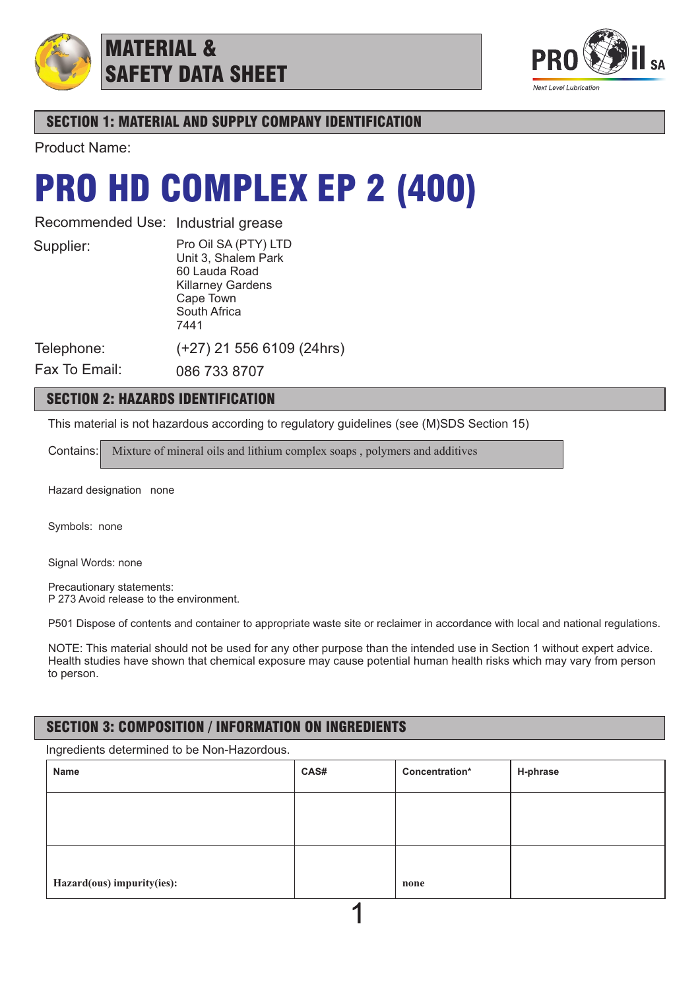

## MATERIAL & SAFETY DATA SHEET



## SECTION 1: MATERIAL AND SUPPLY COMPANY IDENTIFICATION

Product Name:

## PRO HD COMPLEX EP 2 (400)

Recommended Use: Industrial grease

Supplier:

Pro Oil SA (PTY) LTD Unit 3, Shalem Park 60 Lauda Road Killarney Gardens Cape Town South Africa 7441

Telephone:

Fax To Email:

086 733 8707

## SECTION 2: HAZARDS IDENTIFICATION

This material is not hazardous according to regulatory guidelines (see (M)SDS Section 15)

Contains: Mixture of mineral oils and lithium complex soaps, polymers and additives

(+27) 21 556 6109 (24hrs)

Hazard designation none

Symbols: none

Signal Words: none

Precautionary statements: P 273 Avoid release to the environment.

P501 Dispose of contents and container to appropriate waste site or reclaimer in accordance with local and national regulations.

NOTE: This material should not be used for any other purpose than the intended use in Section 1 without expert advice. Health studies have shown that chemical exposure may cause potential human health risks which may vary from person to person.

## SECTION 3: COMPOSITION / INFORMATION ON INGREDIENTS

Ingredients determined to be Non-Hazordous.

| Name                       | CAS# | Concentration* | H-phrase |
|----------------------------|------|----------------|----------|
|                            |      |                |          |
|                            |      |                |          |
|                            |      |                |          |
| Hazard(ous) impurity(ies): |      | none           |          |
|                            |      |                |          |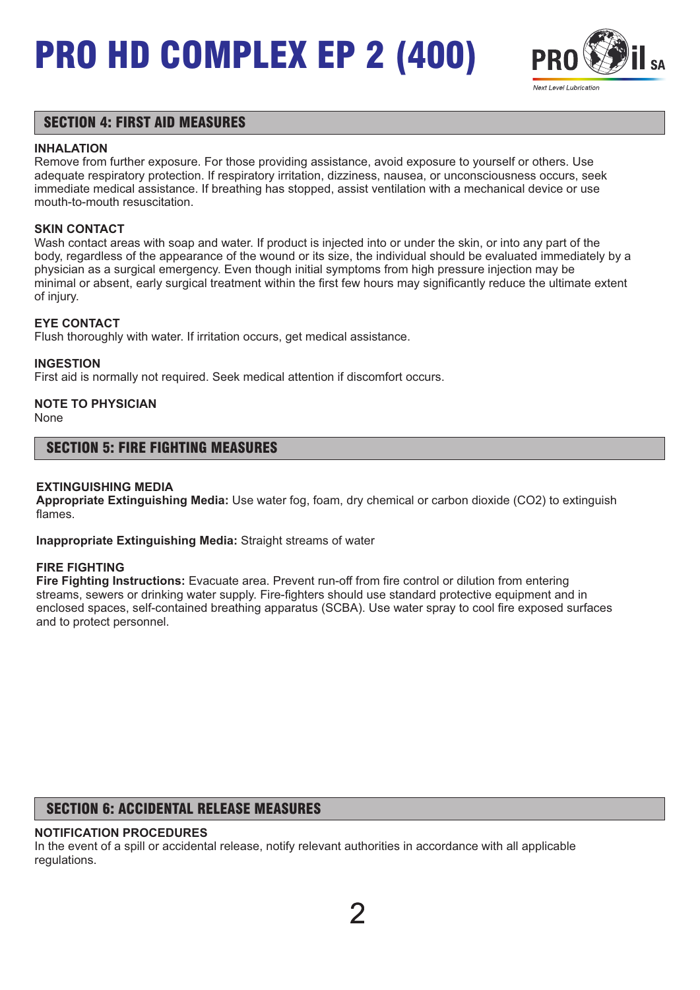

## SECTION 4: FIRST AID MEASURES

#### **INHALATION**

Remove from further exposure. For those providing assistance, avoid exposure to yourself or others. Use adequate respiratory protection. If respiratory irritation, dizziness, nausea, or unconsciousness occurs, seek immediate medical assistance. If breathing has stopped, assist ventilation with a mechanical device or use mouth-to-mouth resuscitation.

#### **SKIN CONTACT**

Wash contact areas with soap and water. If product is injected into or under the skin, or into any part of the body, regardless of the appearance of the wound or its size, the individual should be evaluated immediately by a physician as a surgical emergency. Even though initial symptoms from high pressure injection may be minimal or absent, early surgical treatment within the first few hours may significantly reduce the ultimate extent of injury.

#### **EYE CONTACT**

Flush thoroughly with water. If irritation occurs, get medical assistance.

#### **INGESTION**

First aid is normally not required. Seek medical attention if discomfort occurs.

## **NOTE TO PHYSICIAN**

None

### SECTION 5: FIRE FIGHTING MEASURES

#### **EXTINGUISHING MEDIA**

**Appropriate Extinguishing Media:** Use water fog, foam, dry chemical or carbon dioxide (CO2) to extinguish flames.

**Inappropriate Extinguishing Media:** Straight streams of water

#### **FIRE FIGHTING**

**Fire Fighting Instructions:** Evacuate area. Prevent run-off from fire control or dilution from entering streams, sewers or drinking water supply. Fire-fighters should use standard protective equipment and in enclosed spaces, self-contained breathing apparatus (SCBA). Use water spray to cool fire exposed surfaces and to protect personnel.

## SECTION 6: ACCIDENTAL RELEASE MEASURES

### **NOTIFICATION PROCEDURES**

In the event of a spill or accidental release, notify relevant authorities in accordance with all applicable regulations.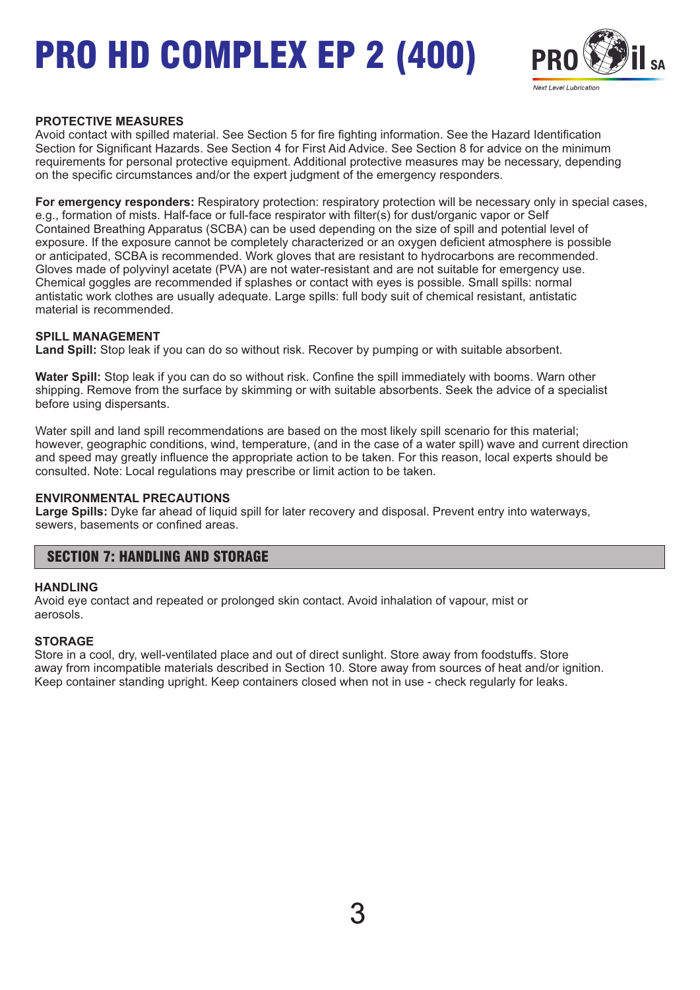

#### **PROTECTIVE MEASURES**

Avoid contact with spilled material. See Section 5 for fire fighting information. See the Hazard Identification Section for Significant Hazards. See Section 4 for First Aid Advice. See Section 8 for advice on the minimum requirements for personal protective equipment. Additional protective measures may be necessary, depending on the specific circumstances and/or the expert judgment of the emergency responders.

**For emergency responders:** Respiratory protection: respiratory protection will be necessary only in special cases, e.g., formation of mists. Half-face or full-face respirator with filter(s) for dust/organic vapor or Self Contained Breathing Apparatus (SCBA) can be used depending on the size of spill and potential level of exposure. If the exposure cannot be completely characterized or an oxygen deficient atmosphere is possible or anticipated, SCBA is recommended. Work gloves that are resistant to hydrocarbons are recommended. Gloves made of polyvinyl acetate (PVA) are not water-resistant and are not suitable for emergency use. Chemical goggles are recommended if splashes or contact with eyes is possible. Small spills: normal antistatic work clothes are usually adequate. Large spills: full body suit of chemical resistant, antistatic material is recommended.

#### **SPILL MANAGEMENT**

**Land Spill:** Stop leak if you can do so without risk. Recover by pumping or with suitable absorbent.

**Water Spill:** Stop leak if you can do so without risk. Confine the spill immediately with booms. Warn other shipping. Remove from the surface by skimming or with suitable absorbents. Seek the advice of a specialist before using dispersants.

Water spill and land spill recommendations are based on the most likely spill scenario for this material; however, geographic conditions, wind, temperature, (and in the case of a water spill) wave and current direction and speed may greatly influence the appropriate action to be taken. For this reason, local experts should be consulted. Note: Local regulations may prescribe or limit action to be taken.

#### **ENVIRONMENTAL PRECAUTIONS**

**Large Spills:** Dyke far ahead of liquid spill for later recovery and disposal. Prevent entry into waterways, sewers, basements or confined areas.

### SECTION 7: HANDLING AND STORAGE

#### **HANDLING**

Avoid eye contact and repeated or prolonged skin contact. Avoid inhalation of vapour, mist or aerosols.

#### **STORAGE**

Store in a cool, dry, well-ventilated place and out of direct sunlight. Store away from foodstuffs. Store away from incompatible materials described in Section 10. Store away from sources of heat and/or ignition. Keep container standing upright. Keep containers closed when not in use - check regularly for leaks.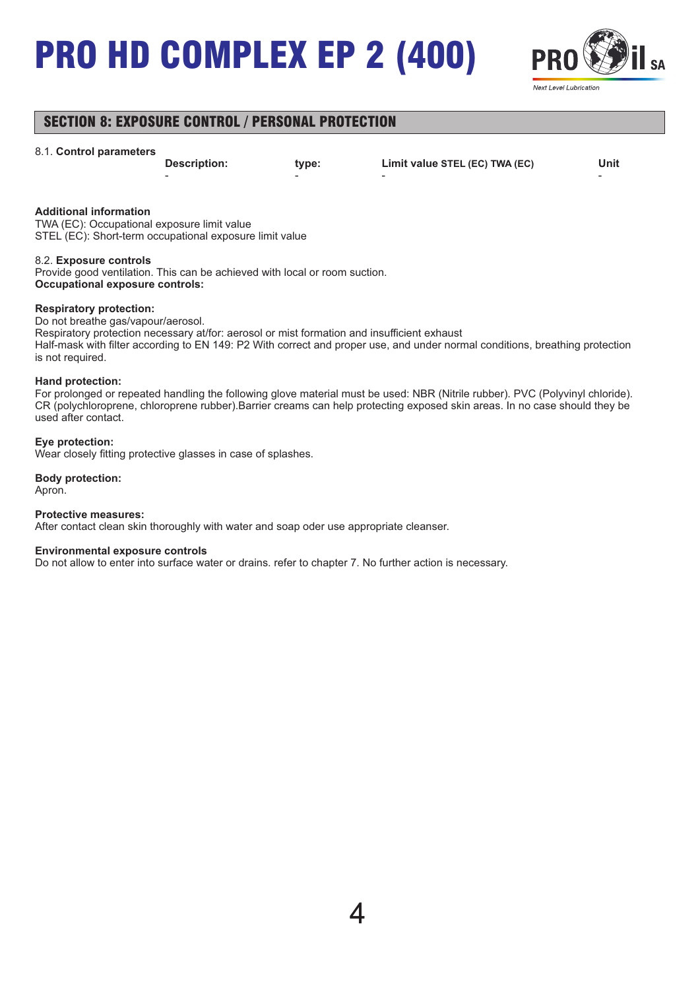

## SECTION 8: EXPOSURE CONTROL / PERSONAL PROTECTION

#### 8.1. **Control parameters**

- - - -

**Description: type: Limit value STEL (EC) TWA (EC) Unit**

#### **Additional information**

TWA (EC): Occupational exposure limit value STEL (EC): Short-term occupational exposure limit value

#### 8.2. **Exposure controls**

Provide good ventilation. This can be achieved with local or room suction. **Occupational exposure controls:**

#### **Respiratory protection:**

Do not breathe gas/vapour/aerosol.

Respiratory protection necessary at/for: aerosol or mist formation and insufficient exhaust Half-mask with filter according to EN 149: P2 With correct and proper use, and under normal conditions, breathing protection is not required.

#### **Hand protection:**

For prolonged or repeated handling the following glove material must be used: NBR (Nitrile rubber). PVC (Polyvinyl chloride). CR (polychloroprene, chloroprene rubber).Barrier creams can help protecting exposed skin areas. In no case should they be used after contact.

#### **Eye protection:**

Wear closely fitting protective glasses in case of splashes.

#### **Body protection:** Apron.

#### **Protective measures:**

After contact clean skin thoroughly with water and soap oder use appropriate cleanser.

#### **Environmental exposure controls**

Do not allow to enter into surface water or drains. refer to chapter 7. No further action is necessary.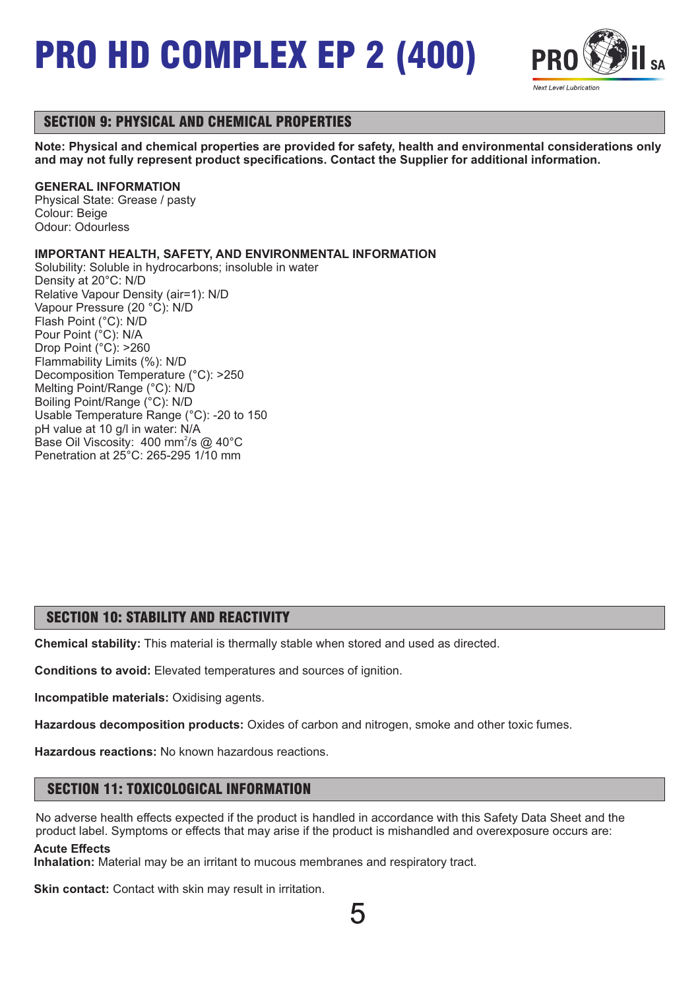

## SECTION 9: PHYSICAL AND CHEMICAL PROPERTIES

**Note: Physical and chemical properties are provided for safety, health and environmental considerations only and may not fully represent product specifications. Contact the Supplier for additional information.**

#### **GENERAL INFORMATION**

Physical State: Grease / pasty Colour: Beige Odour: Odourless

#### **IMPORTANT HEALTH, SAFETY, AND ENVIRONMENTAL INFORMATION**

Solubility: Soluble in hydrocarbons; insoluble in water Density at 20°C: N/D Relative Vapour Density (air=1): N/D Vapour Pressure (20 °C): N/D Flash Point (°C): N/D Pour Point (°C): N/A Drop Point (°C): >260 Flammability Limits (%): N/D Decomposition Temperature (°C): >250 Melting Point/Range (°C): N/D Boiling Point/Range (°C): N/D Usable Temperature Range (°C): -20 to 150 pH value at 10 g/l in water: N/A Base Oil Viscosity: 400 mm<sup>2</sup>/s @ 40°C Penetration at 25°C: 265-295 1/10 mm

### SECTION 10: STABILITY AND REACTIVITY

**Chemical stability:** This material is thermally stable when stored and used as directed.

**Conditions to avoid:** Elevated temperatures and sources of ignition.

**Incompatible materials:** Oxidising agents.

**Hazardous decomposition products:** Oxides of carbon and nitrogen, smoke and other toxic fumes.

**Hazardous reactions:** No known hazardous reactions.

## SECTION 11: TOXICOLOGICAL INFORMATION

No adverse health effects expected if the product is handled in accordance with this Safety Data Sheet and the product label. Symptoms or effects that may arise if the product is mishandled and overexposure occurs are: **Acute Effects**

**Inhalation:** Material may be an irritant to mucous membranes and respiratory tract.

**Skin contact:** Contact with skin may result in irritation.

5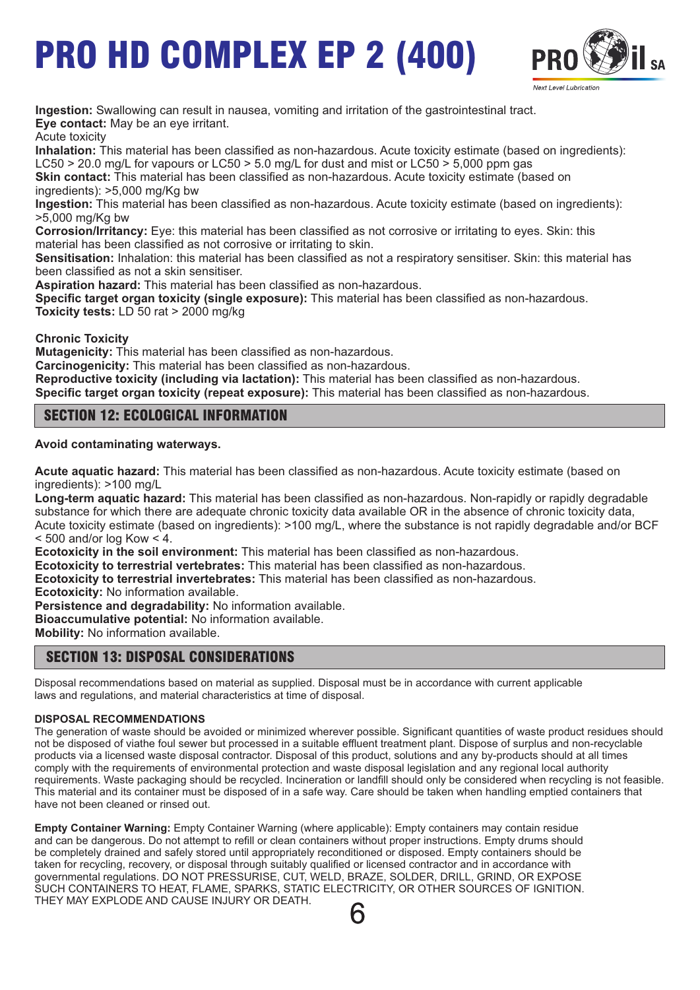

**Ingestion:** Swallowing can result in nausea, vomiting and irritation of the gastrointestinal tract. **Eye contact:** May be an eye irritant.

Acute toxicity

**Inhalation:** This material has been classified as non-hazardous. Acute toxicity estimate (based on ingredients): LC50  $>$  20.0 mg/L for vapours or LC50  $>$  5.0 mg/L for dust and mist or LC50  $>$  5,000 ppm gas

**Skin contact:** This material has been classified as non-hazardous. Acute toxicity estimate (based on ingredients): >5,000 mg/Kg bw

**Ingestion:** This material has been classified as non-hazardous. Acute toxicity estimate (based on ingredients): >5,000 mg/Kg bw

**Corrosion/Irritancy:** Eye: this material has been classified as not corrosive or irritating to eyes. Skin: this material has been classified as not corrosive or irritating to skin.

**Sensitisation:** Inhalation: this material has been classified as not a respiratory sensitiser. Skin: this material has been classified as not a skin sensitiser.

**Aspiration hazard:** This material has been classified as non-hazardous.

**Specific target organ toxicity (single exposure):** This material has been classified as non-hazardous. **Toxicity tests:** LD 50 rat > 2000 mg/kg

**Chronic Toxicity**

**Mutagenicity:** This material has been classified as non-hazardous.

**Carcinogenicity:** This material has been classified as non-hazardous.

**Reproductive toxicity (including via lactation):** This material has been classified as non-hazardous. **Specific target organ toxicity (repeat exposure):** This material has been classified as non-hazardous.

## SECTION 12: ECOLOGICAL INFORMATION

**Avoid contaminating waterways.**

**Acute aquatic hazard:** This material has been classified as non-hazardous. Acute toxicity estimate (based on ingredients): >100 mg/L

**Long-term aquatic hazard:** This material has been classified as non-hazardous. Non-rapidly or rapidly degradable substance for which there are adequate chronic toxicity data available OR in the absence of chronic toxicity data, Acute toxicity estimate (based on ingredients): >100 mg/L, where the substance is not rapidly degradable and/or BCF  $<$  500 and/or log Kow  $<$  4.

**Ecotoxicity in the soil environment:** This material has been classified as non-hazardous.

**Ecotoxicity to terrestrial vertebrates:** This material has been classified as non-hazardous.

**Ecotoxicity to terrestrial invertebrates:** This material has been classified as non-hazardous.

**Ecotoxicity:** No information available.

**Persistence and degradability:** No information available.

**Bioaccumulative potential:** No information available.

**Mobility:** No information available.

### SECTION 13: DISPOSAL CONSIDERATIONS

Disposal recommendations based on material as supplied. Disposal must be in accordance with current applicable laws and regulations, and material characteristics at time of disposal.

#### **DISPOSAL RECOMMENDATIONS**

The generation of waste should be avoided or minimized wherever possible. Significant quantities of waste product residues should not be disposed of viathe foul sewer but processed in a suitable effluent treatment plant. Dispose of surplus and non-recyclable products via a licensed waste disposal contractor. Disposal of this product, solutions and any by-products should at all times comply with the requirements of environmental protection and waste disposal legislation and any regional local authority requirements. Waste packaging should be recycled. Incineration or landfill should only be considered when recycling is not feasible. This material and its container must be disposed of in a safe way. Care should be taken when handling emptied containers that have not been cleaned or rinsed out.

**Empty Container Warning:** Empty Container Warning (where applicable): Empty containers may contain residue and can be dangerous. Do not attempt to refill or clean containers without proper instructions. Empty drums should be completely drained and safely stored until appropriately reconditioned or disposed. Empty containers should be taken for recycling, recovery, or disposal through suitably qualified or licensed contractor and in accordance with governmental regulations. DO NOT PRESSURISE, CUT, WELD, BRAZE, SOLDER, DRILL, GRIND, OR EXPOSE SUCH CONTAINERS TO HEAT, FLAME, SPARKS, STATIC ELECTRICITY, OR OTHER SOURCES OF IGNITION. THEY MAY EXPLODE AND CAUSE INJURY OR DEATH.